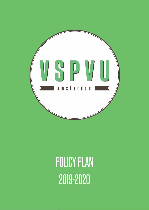

# POLICY PLAN 2019-2020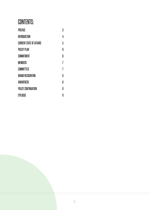# CONTENTS:

| PREFACE                         | 3  |
|---------------------------------|----|
| INTRODUCTION                    | 4  |
| <b>CURRENT STATE OF AFFAIRS</b> | 5  |
| <b>POLICY PLAN</b>              | 6  |
| COMMITMENT                      | 6  |
| <b>MEMBERS</b>                  | 7  |
| COMMITTEES                      | 7  |
| <b>BRAND RECOGNITION</b>        | 8  |
| AWARENESS                       | 8  |
| POLICY CONTINUATION             | 9  |
| <b>EPILOGUE</b>                 | 11 |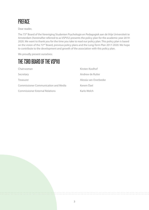

Dear reader,

The 73<sup>rd</sup> Board of the Vereniging Studenten Psychologie en Pedagogiek aan de Vrije Universiteit te Amsterdam (hereinafter referred to as VSPVU) presents the policy plan for the academic year 2019- 2020. We want to thank you for the time you take to read our policy plan. This policy plan is based on the vision of the 72<sup>nd</sup> Board, previous policy plans and the Long-Term Plan 2017-2020. We hope to contribute to the development and growth of the association with this policy plan.

We proudly present ourselves:

### THE 73RD BOARD OF THE VSPVU

| Chairwoman                                  | Kirsten Koolhof       |
|---------------------------------------------|-----------------------|
| Secretary                                   | Andrew de Ruiter      |
| Treasurer                                   | Alessia van Overbeeke |
| <b>Commissioner Communication and Media</b> | Kerem Özel            |
| <b>Commissioner External Relations</b>      | Karlo Welch           |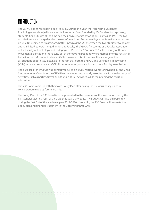### **INTRODUCTION**

The VSPVU has its roots going back to 1947. During this year, the 'Vereniging Studenten Psychologie aan de Vrije Universiteit te Amsterdam'was founded by Mr. Sanders for psychology students. Child Studies at the time had their own separate association'Hilaritas'. In 1961, the two associations were merged under the name 'Vereniging Studenten Psychologie en Pedagogiek aan de Vrije Universiteit te Amsterdam', better known as the VSPVU. When the two studies; Psychology and Child Studies were merged under one Faculty, the VSPVU functioned as a Faculty association of the Faculty of Psychology and Pedagogy (FPP). On the 1<sup>st</sup> of June 2015, the Faculty of Human Movement Sciences and the Faculty of Psychology and Pedagogy were merged into the Faculty of Behavioral and Movement Sciences (FGB). However, this did not result in a merge of the associations of both faculties. Due to the fact that both the VSPVU and Vereniging In Beweging (V.I.B.) remained separate, the VSPVU became a study association and not a Faculty association.

The purpose of the VSPVU was primarily focused on study-related events for Psychology and Child Study students. Over time, the VSPVU has developed into a study association with a wider range of activities, such as parties, travel, sports and cultural activities, while maintaining the focus on education.

The 73rd Board came up with their own Policy Plan after taking the previous policy plans in consideration made by former Boards.

The Policy Plan of the 73<sup>rd</sup> Board is to be presented to the members of the association during the first General Meeting (GM) of the academic year 2019-2020. The Budget will also be presented during the first GM of the academic year 2019-2020. If voted in, the 73<sup>rd</sup> Board will evaluate the policy plan and financial statement in the upcoming three GM's.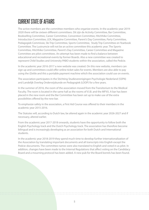# CURRENT STATE OF AFFAIRS

The active members are the committee members who organize events. In the academic year 2019- 2020 there will be sixteen different committees. Dit zijn de Activity Committee, Bar Committee, Bookselling Committee, Career Committee, Convention Committee, Hitchhike Committee, Introduction Committee, LEX, Magazine Committee, Parent's Day Committee, Party Committee, Pedagogiek Commissie, Ski Trip Committee, Sports Committee, Study Trip Committee en Yearbook Committee. The Lustrumcie will not be an active committee this academic year. The Sports Committee, Hitchhike Committee, Parent's Day Committee, Career Committee and Magazine Committee are pilot committees. An attempt has been made to find a balance between educational and recreational events by former Boards. Also a new committee was created to represent Child Studies and University PABO students within the association, called the Pedcie.

In the academic year 2016-2017 a new website was created. On this new website, members can sign up and committees could offer online ticket sales for events. Members are also able to pay using the iZettle and this a portable payment machine which the association could use on events.

The association participates in the Stichting Studieverenigingen Psychologie Nederland (SSPN) and Landelijk Overleg Onderwijskunde en Pedagogiek (LOOP) for a few years.

In the summer of 2016, the room of the association moved from the Transitorium to the Medical Faculty. The room is located in the same hall as the rooms of V.I.B. and the MFVU. A bar has been placed in the new room and the Bar Committee has been set up to make use of the extra possibilities offered by the new bar.

To emphasize safety in the association, a First Aid Course was offered to their members in the academic year 2015-2016.

The Statutes will, according to Dutch law, be altered again in the academic year 2026-2027 and if necessary, altered earlier.

From the academic year 2017-2018 onwards, students have the opportunity to follow both the English Psychology track and the Dutch Psychology track. The association has therefore become bilingual and is increasingly developing as an association for both Dutch and International students.

In the academic year 2018-2019 they spend much time to develop further internationalization of the Association by translating important documents and all transcripts into English except the Pedcie-documents. The committee names were also translated to English and voted in as pilot. In addition, changes have been made to the Internal Regulations that affect voting on the Candidacy Board and a mourning protocol has been added. A new pub for the Board borrels has been found.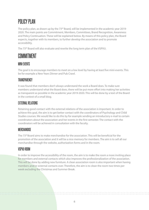# POLICY PLAN

The policy plan, as drawn up by the 73<sup>rd</sup> Board, will be implemented in the academic year 2019-2020. The main points are Commitment, Members, Committees, Brand Recognition, Awareness and Policy Continuation. These will be explained below. By means of this policy plan, the Board expects, together with its members, to further develop the association and to promote accessibility.

The 73<sup>rd</sup> Board will also evaluate and rewrite the long term plan of the VSPVU.

### COMMITMENT

### MINI-EVENTS

The goal is to encourage members to meet on a low level by having at least five mini-events. This be for example a New Years Dinner and Pub Crawl.

#### TRANSPARENCY

It was found that members don't always understand the work a Board does. To make sure members understand what the Board does, there will be put more effort into making her activities as transparent as possible in the academic year 2019-2020. This will be done by a text of the Board in the context of a small blog.

### EXTERNAL RELATIONS

Retaining good contact with the external relations of the association is important. In order to achieve this goal, the aim is to get better contact with the coordinators of Psychology and Child Studies courses. We would like to do this by for example sending an introductory e-mail to certain coordinators about the association and her events in the first semester. The contact with the coordinators will be achieved in consultation with the faculty.

#### **MERCHANDISE**

The 73rd Board aims to make merchandise for the association. This will be beneficial for the promotion of the association and it will be a nice memory for members. The aim is to sell all our merchandise through the website, authorization forms and in the room.

#### VSPVII-ROOM

In order to improve the accessibility of the room, the aim is to make the room a more inviting place for members and external contacts which also improves the professionalization of the association. This will be done by adding new furniture. A clean association room is also important when having members and/or external contacts over. Therefore, the aim is to clean the room two times per week excluding the Christmas and Summer Break.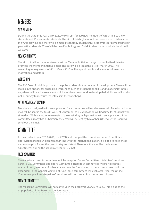### **MFMBFRS**

### NEW MEMBERS

During the academic year 2019-2020, we will aim for 499 new members of which 484 bachelor students and 15 new master students. The aim of this high amount bachelor students is because the VU is growing and there will be more Psychology students this academic year compared to last year. 484 students is 55% of all the new Psychology and Child Studies students which the VU will welcome.

### MEMBER INITIATIVE

The aim is to allow members to request the Member Initiative budget up until a fixed date to promote the Member Initiative better. The date will be set at the 31st of March 2020. The remaining money after the 31<sup>st</sup> of March 2020 will be spend on a Board event for all members. motivation and details

### **WORKSHOPS**

The 73<sup>rd</sup> Board finds it important to help the students in their academic development. There will be looked into options for organizing workshops such as 'Presentation skills' and 'Leadership'. In this way there will be a low-key event which members can attend to develop their skills. We will hold a poll or survey to measure the interest in the workshops.

### ACTIVE MEMBER APPLICATION

Members who signed in for an application for a committee will receive an e-mail. An information email will be sent in the fourth week of September to prevent a long waiting time for students who signed up. Within another two weeks of the email they will get an invite for an application. If the committee already has a Chairman, the email will be sent by him or her. Otherwise the Board will send out the email.

### COMMITTEES

In the academic year 2018-2019, the 72<sup>nd</sup> Board changed the committee names from Dutch abbreviations to full English names. In line with the internationalization, it is good to keep these names as a pilot for another year to stay consistent. Therefore, there will be made some adjustments during the academic year 2019-2020.

### PILOT COMMITTEES

There are four current committees which are a pilot: Career Committee, Hitchhike Committee, Parent's Day Committee and Sports Committee. These four committees will stay pilots this academic year, in order to further analyse how the functioning of these committees could be expanded. In the General Meeting of June these committees will evaluated. Also, the Online Committee, previous Magazine Committee, will become a pilot committee this year.

### MAGAZINE COMMITTEE

The Magazine Committee will not continue in the academic year 2019-2020. This is due to the unpopularity of the Tranz the previous years.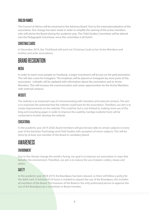### **FNGLISH NAMES**

The Council of Advice will be renamed to the Advisory Board. Due to the internationalization of the association, this change has been made in order to simplify the naming of the active members who will advise the Board during the academic year. The Child Studies Committee will be altered into the Pedagogiek Commissie, since this committee is all Dutch.

#### CHRISTMAS CARDS

In December 2019, the 73rd Board will send out Christmas Cards to her Active Members and brother and sister associations.

### BRAND RECOGNITION

#### MEDIA

In order to reach more people on Facebook, a larger investment will be put on the paid promotion. This will also count for Instagram. The emphasis will be placed on Instagram by more posts of the association. LinkedIn will be updated with information about the association and its Active Members. This will increase the communication and career opportunities for the Active Members with external contacts.

### **WEBSITE**

The website is an important way of communicating with members and external contacts. The aim is to maximize the potential that the website could have for the association. Therefore, our aim is to create improvements on the website. This could be, but is not limited to, making more use of the blog and reworking pages in order to improve the usability. Genkgo (website host) will be contacted to further develop the website.

#### EDUCATIONAL

In the academic year 2019-2020, Board members will give lecture talks to certain subjects in every year of the bachelor Psychology and Child Studies with exception of minor subjects. This will be done by at least one member of the Board or candidacy Board.

### AWARENESS

### **FNVIRONMENT**

Due to the climate change the world is facing, our goal is to improve our association in ways that benefits the environment. Therefore, our aim is to reduce the use of plastic cutlery, straws and plates.

### **SAFFTY**

In the academic year 2018-2019, the Boardpass has been abused, so there will follow a policy for the debit card. A minimal of 24 hours is needed to request the use of the Boardpass, this includes all members of the Board. The treasurer of the Board is the only authorized person to approve the use of the Boardpass by a committee or Board member.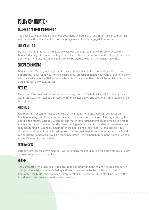# POLICY CONTINUATION

### TRANSLATION AND INTERNATIONALIZATION

The goal is to keep providing all public documents in both Dutch and English, so all committees will translate their documents to both languages except the Pedagogiek Commissie.

### GENERAL MEETING

During the academic year 2019-2020 at least four General Meetings will be organized. In the General Meetings, it is important to give all the members a chance to share their thoughts and ask questions. Therefore, the (online) idea box will be discussed during the General meeting.

### GENERAL BOARD MEETING

General Board Meetings are important to keep up to date about the committees. There is an opportunity to ask for advice from the chairs of our association has. It was found useful to sit down with the chairs before a GBM to discuss the state of the committee, this will be implemented in the academic year 2019-2020 as well.

### **MFFTINGS**

Members of the Board will attend various meetings such as SSPN, LOOP and G5. This way issues within an association can be discussed with similar association and solutions from outside can be brought up.

### **FIINCTIONING**

It is important for committees to be aware of their tasks. Therefore, there will be a focus on function trainings and the committee manuals. These function trainings will be organized by the Board in the months October, December and March for all active members and will be tailored to the function of said member. Besides these training moments, an Active Member is always able to request a function training by a member of the Board if he or she finds it useful. The previous Chairman of all committees will be imposed to adjust their handbook if necessary and the Board can adjust the handbook as well if is found necessary. This will hopefully help the functioning of all Active Members in their position.

### BIRTHDAY CARDS

Birthday cards for the active members will be send by the Board during the academic year of 2019- 2020 from October 2019 until 2020.

### **BUDGETS**

The Committee-ten budget exists to encourage bonding within the committee via a committee ouring. It has a fixed date for declaring and that date is set on the 7nd of January. If the Committee-ten budget has not been fully requested, the remainder amount will be used by the Board to organize an event for the active members.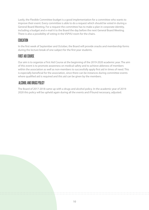Lastly, the Flexible Committee budget is a good implementation for a committee who wants to improve their event. Every committee is able to do a request which should be voted in during a General Board Meeting. For a request the committee has to make a plan in corporate identity, including a budget and e-mail it to the Board the day before the next General Board Meeting. There is also a possibility of voting in the VSPVU-room for the chairs.

### **FOUCATION**

In the first week of September and October, the Board will provide snacks and membership forms during the lecture break of one subject for the first year students.

### FIRST AID COURSE

Our aim is to organize a First Aid Course at the beginning of the 2019-2020 academic year. The aim of this event is to promote awareness on medical safety and to achieve ableness of members within the association as well as non-members to successfully apply first aid in times of need. This is especially beneficial for the association, since there can be instances during committee events where qualified aid is required and this aid can be given by the members.

### ALCOHOL AND DRUGS POLICY

The Board of 2017-2018 came up with a drugs and alcohol policy. In the academic year of 2019- 2020 this policy will be upheld again during all the events and if found necessary, adjusted.